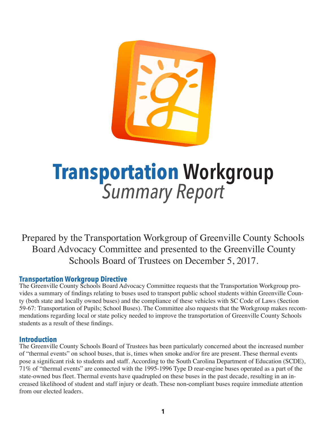# **Transportation Workgroup** *Summary Report*

Prepared by the Transportation Workgroup of Greenville County Schools Board Advocacy Committee and presented to the Greenville County Schools Board of Trustees on December 5, 2017.

## **Transportation Workgroup Directive**

The Greenville County Schools Board Advocacy Committee requests that the Transportation Workgroup provides a summary of findings relating to buses used to transport public school students within Greenville County (both state and locally owned buses) and the compliance of these vehicles with SC Code of Laws (Section 59-67: Transportation of Pupils; School Buses). The Committee also requests that the Workgroup makes recommendations regarding local or state policy needed to improve the transportation of Greenville County Schools students as a result of these findings.

#### **Introduction**

The Greenville County Schools Board of Trustees has been particularly concerned about the increased number of "thermal events" on school buses, that is, times when smoke and/or fire are present. These thermal events pose a significant risk to students and staff. According to the South Carolina Department of Education (SCDE), 71% of "thermal events" are connected with the 1995-1996 Type D rear-engine buses operated as a part of the state-owned bus fleet. Thermal events have quadrupled on these buses in the past decade, resulting in an increased likelihood of student and staff injury or death. These non-compliant buses require immediate attention from our elected leaders.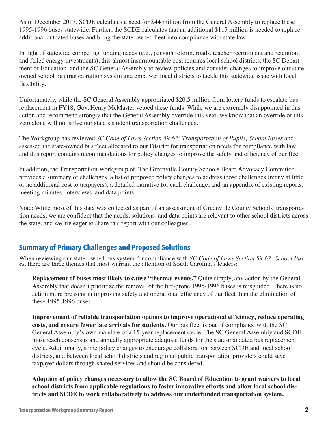As of December 2017, SCDE calculates a need for \$44 million from the General Assembly to replace these 1995-1996 buses statewide. Further, the SCDE calculates that an additional \$115 million is needed to replace additional outdated buses and bring the state-owned fleet into compliance with state law.

In light of statewide competing funding needs (e.g., pension reform, roads, teacher recruitment and retention, and failed energy investments), this almost insurmountable cost requires local school districts, the SC Department of Education, and the SC General Assembly to review policies and consider changes to improve our stateowned school bus transportation system and empower local districts to tackle this statewide issue with local flexibility.

Unfortunately, while the SC General Assembly appropriated \$20.5 million from lottery funds to escalate bus replacement in FY18, Gov. Henry McMaster vetoed these funds. While we are extremely disappointed in this action and recommend strongly that the General Assembly override this veto, we know that an override of this veto alone will not solve our state's student transportation challenges.

The Workgroup has reviewed *SC Code of Laws Section 59-67: Transportation of Pupils, School Buses* and assessed the state-owned bus fleet allocated to our District for transportation needs for compliance with law, and this report contains recommendations for policy changes to improve the safety and efficiency of our fleet.

In addition, the Transportation Workgroup of The Greenville County Schools Board Advocacy Committee provides a summary of challenges, a list of proposed policy changes to address those challenges (many at little or no additional cost to taxpayers), a detailed narrative for each challenge, and an appendix of existing reports, meeting minutes, interviews, and data points.

Note: While most of this data was collected as part of an assessment of Greenville County Schools' transportation needs, we are confident that the needs, solutions, and data points are relevant to other school districts across the state, and we are eager to share this report with our colleagues.

## **Summary of Primary Challenges and Proposed Solutions**

When reviewing our state-owned bus system for compliance with *SC Code of Laws Section 59-67: School Buses,* there are three themes that most warrant the attention of South Carolina's leaders:

**Replacement of buses most likely to cause "thermal events."** Quite simply, any action by the General Assembly that doesn't prioritize the removal of the fire-prone 1995-1996 buses is misguided. There is no action more pressing in improving safety and operational efficiency of our fleet than the elimination of these 1995-1996 buses.

**Improvement of reliable transportation options to improve operational efficiency, reduce operating costs, and ensure fewer late arrivals for students.** Our bus fleet is out of compliance with the SC General Assembly's own mandate of a 15-year replacement cycle. The SC General Assembly and SCDE must reach consensus and annually appropriate adequate funds for the state-mandated bus replacement cycle. Additionally, some policy changes to encourage collaboration between SCDE and local school districts, and between local school districts and regional public transportation providers could save taxpayer dollars through shared services and should be considered.

**Adoption of policy changes necessary to allow the SC Board of Education to grant waivers to local school districts from applicable regulations to foster innovative efforts and allow local school districts and SCDE to work collaboratively to address our underfunded transportation system.**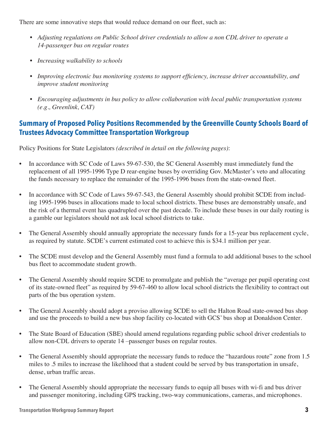There are some innovative steps that would reduce demand on our fleet, such as:

- *• Adjusting regulations on Public School driver credentials to allow a non CDL driver to operate a 14-passenger bus on regular routes*
- *• Increasing walkability to schools*
- *Improving electronic bus monitoring systems to support efficiency, increase driver accountability, and improve student monitoring*
- *• Encouraging adjustments in bus policy to allow collaboration with local public transportation systems (e.g., Greenlink, CAT)*

## **Summary of Proposed Policy Positions Recommended by the Greenville County Schools Board of Trustees Advocacy Committee Transportation Workgroup**

Policy Positions for State Legislators *(described in detail on the following pages)*:

- In accordance with SC Code of Laws 59-67-530, the SC General Assembly must immediately fund the replacement of all 1995-1996 Type D rear-engine buses by overriding Gov. McMaster's veto and allocating the funds necessary to replace the remainder of the 1995-1996 buses from the state-owned fleet.
- In accordance with SC Code of Laws 59-67-543, the General Assembly should prohibit SCDE from including 1995-1996 buses in allocations made to local school districts. These buses are demonstrably unsafe, and the risk of a thermal event has quadrupled over the past decade. To include these buses in our daily routing is a gamble our legislators should not ask local school districts to take.
- The General Assembly should annually appropriate the necessary funds for a 15-year bus replacement cycle, as required by statute. SCDE's current estimated cost to achieve this is \$34.1 million per year.
- The SCDE must develop and the General Assembly must fund a formula to add additional buses to the school bus fleet to accommodate student growth.
- The General Assembly should require SCDE to promulgate and publish the "average per pupil operating cost of its state-owned fleet" as required by 59-67-460 to allow local school districts the flexibility to contract out parts of the bus operation system.
- The General Assembly should adopt a proviso allowing SCDE to sell the Halton Road state-owned bus shop and use the proceeds to build a new bus shop facility co-located with GCS' bus shop at Donaldson Center.
- The State Board of Education (SBE) should amend regulations regarding public school driver credentials to allow non-CDL drivers to operate 14 –passenger buses on regular routes.
- The General Assembly should appropriate the necessary funds to reduce the "hazardous route" zone from 1.5 miles to .5 miles to increase the likelihood that a student could be served by bus transportation in unsafe, dense, urban traffic areas.
- The General Assembly should appropriate the necessary funds to equip all buses with wi-fi and bus driver and passenger monitoring, including GPS tracking, two-way communications, cameras, and microphones.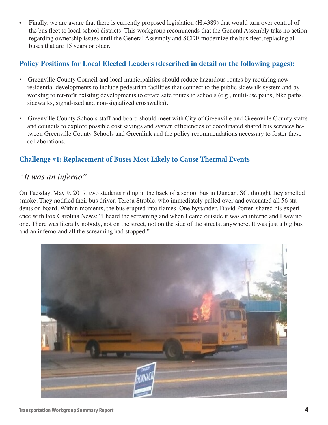• Finally, we are aware that there is currently proposed legislation (H.4389) that would turn over control of the bus fleet to local school districts. This workgroup recommends that the General Assembly take no action regarding ownership issues until the General Assembly and SCDE modernize the bus fleet, replacing all buses that are 15 years or older.

### **Policy Positions for Local Elected Leaders (described in detail on the following pages):**

- Greenville County Council and local municipalities should reduce hazardous routes by requiring new residential developments to include pedestrian facilities that connect to the public sidewalk system and by working to ret-rofit existing developments to create safe routes to schools (e.g., multi-use paths, bike paths, sidewalks, signal-ized and non-signalized crosswalks).
- Greenville County Schools staff and board should meet with City of Greenville and Greenville County staffs and councils to explore possible cost savings and system efficiencies of coordinated shared bus services be tween Greenville County Schools and Greenlink and the policy recommendations necessary to foster these collaborations.

## **Challenge #1: Replacement of Buses Most Likely to Cause Thermal Events**

## *"It was an inferno"*

On Tuesday, May 9, 2017, two students riding in the back of a school bus in Duncan, SC, thought they smelled smoke. They notified their bus driver, Teresa Stroble, who immediately pulled over and evacuated all 56 students on board. Within moments, the bus erupted into flames. One bystander, David Porter, shared his experience with Fox Carolina News: "I heard the screaming and when I came outside it was an inferno and I saw no one. There was literally nobody, not on the street, not on the side of the streets, anywhere. It was just a big bus and an inferno and all the screaming had stopped."

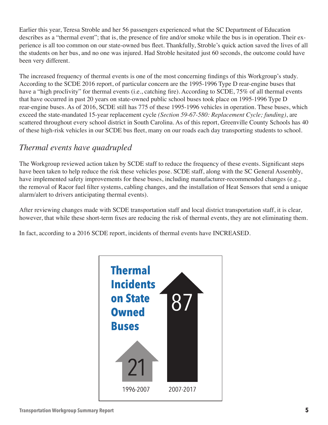Earlier this year, Teresa Stroble and her 56 passengers experienced what the SC Department of Education describes as a "thermal event"; that is, the presence of fire and/or smoke while the bus is in operation. Their experience is all too common on our state-owned bus fleet. Thankfully, Stroble's quick action saved the lives of all the students on her bus, and no one was injured. Had Stroble hesitated just 60 seconds, the outcome could have been very different.

The increased frequency of thermal events is one of the most concerning findings of this Workgroup's study. According to the SCDE 2016 report, of particular concern are the 1995-1996 Type D rear-engine buses that have a "high proclivity" for thermal events (i.e., catching fire). According to SCDE, 75% of all thermal events that have occurred in past 20 years on state-owned public school buses took place on 1995-1996 Type D rear-engine buses. As of 2016, SCDE still has 775 of these 1995-1996 vehicles in operation. These buses, which exceed the state-mandated 15-year replacement cycle *(Section 59-67-580: Replacement Cycle; funding)*, are scattered throughout every school district in South Carolina. As of this report, Greenville County Schools has 40 of these high-risk vehicles in our SCDE bus fleet, many on our roads each day transporting students to school.

# *Thermal events have quadrupled*

The Workgroup reviewed action taken by SCDE staff to reduce the frequency of these events. Significant steps have been taken to help reduce the risk these vehicles pose. SCDE staff, along with the SC General Assembly, have implemented safety improvements for these buses, including manufacturer-recommended changes (e.g., the removal of Racor fuel filter systems, cabling changes, and the installation of Heat Sensors that send a unique alarm/alert to drivers anticipating thermal events).

After reviewing changes made with SCDE transportation staff and local district transportation staff, it is clear, however, that while these short-term fixes are reducing the risk of thermal events, they are not eliminating them.

In fact, according to a 2016 SCDE report, incidents of thermal events have INCREASED.

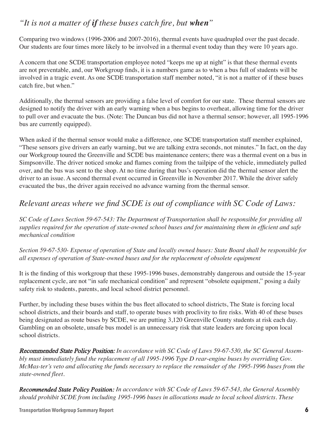# *"It is not a matter of if these buses catch fire, but when"*

Comparing two windows (1996-2006 and 2007-2016), thermal events have quadrupled over the past decade. Our students are four times more likely to be involved in a thermal event today than they were 10 years ago.

A concern that one SCDE transportation employee noted "keeps me up at night" is that these thermal events are not preventable, and, our Workgroup finds, it is a numbers game as to when a bus full of students will be involved in a tragic event. As one SCDE transportation staff member noted, "it is not a matter of if these buses catch fire, but when."

Additionally, the thermal sensors are providing a false level of comfort for our state. These thermal sensors are designed to notify the driver with an early warning when a bus begins to overheat, allowing time for the driver to pull over and evacuate the bus. (Note: The Duncan bus did not have a thermal sensor; however, all 1995-1996 bus are currently equipped).

When asked if the thermal sensor would make a difference, one SCDE transportation staff member explained, "These sensors give drivers an early warning, but we are talking extra seconds, not minutes." In fact, on the day our Workgroup toured the Greenville and SCDE bus maintenance centers; there was a thermal event on a bus in Simpsonville. The driver noticed smoke and flames coming from the tailpipe of the vehicle, immediately pulled over, and the bus was sent to the shop. At no time during that bus's operation did the thermal sensor alert the driver to an issue. A second thermal event occurred in Greenville in November 2017. While the driver safely evacuated the bus, the driver again received no advance warning from the thermal sensor.

# Relevant areas where we find SCDE is out of compliance with SC Code of Laws:

*SC Code of Laws Section 59-67-543: The Department of Transportation shall be responsible for providing all*  supplies required for the operation of state-owned school buses and for maintaining them in efficient and safe *mechanical condition*

*Section 59-67-530- Expense of operation of State and locally owned buses: State Board shall be responsible for all expenses of operation of State-owned buses and for the replacement of obsolete equipment*

It is the finding of this workgroup that these 1995-1996 buses, demonstrably dangerous and outside the 15-year replacement cycle, are not "in safe mechanical condition" and represent "obsolete equipment," posing a daily safety risk to students, parents, and local school district personnel.

Further, by including these buses within the bus fleet allocated to school districts, The State is forcing local school districts, and their boards and staff, to operate buses with proclivity to fire risks. With 40 of these buses being designated as route buses by SCDE, we are putting 3,120 Greenville County students at risk each day. Gambling on an obsolete, unsafe bus model is an unnecessary risk that state leaders are forcing upon local school districts.

Recommended State Policy Position: *In accordance with SC Code of Laws 59-67-530, the SC General Assembly must immediately fund the replacement of all 1995-1996 Type D rear-engine buses by overriding Gov. McMas-ter's veto and allocating the funds necessary to replace the remainder of the 1995-1996 buses from the state-owned fleet.* 

*Recommended State Policy Position: In accordance with SC Code of Laws 59-67-543, the General Assembly should prohibit SCDE from including 1995-1996 buses in allocations made to local school districts. These*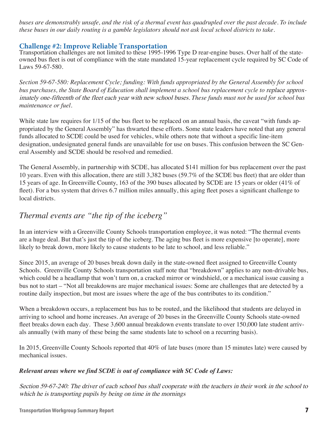*buses are demonstrably unsafe, and the risk of a thermal event has quadrupled over the past decade. To include these buses in our daily routing is a gamble legislators should not ask local school districts to take.* 

#### **Challenge #2: Improve Reliable Transportation**

Transportation challenges are not limited to these 1995-1996 Type D rear-engine buses. Over half of the stateowned bus fleet is out of compliance with the state mandated 15-year replacement cycle required by SC Code of Laws 59-67-580.

*Section 59-67-580: Replacement Cycle; funding: With funds appropriated by the General Assembly for school bus purchases, the State Board of Education shall implement a school bus replacement cycle to replace approx*imately one-fifteenth of the fleet each year with new school buses. *These funds must not be used for school bus maintenance or fuel.*

While state law requires for 1/15 of the bus fleet to be replaced on an annual basis, the caveat "with funds appropriated by the General Assembly" has thwarted these efforts. Some state leaders have noted that any general funds allocated to SCDE could be used for vehicles, while others note that without a specific line-item designation, undesignated general funds are unavailable for use on buses. This confusion between the SC General Assembly and SCDE should be resolved and remedied.

The General Assembly, in partnership with SCDE, has allocated \$141 million for bus replacement over the past 10 years. Even with this allocation, there are still 3,382 buses (59.7% of the SCDE bus fleet) that are older than 15 years of age. In Greenville County, 163 of the 390 buses allocated by SCDE are 15 years or older (41% of fleet). For a bus system that drives 6.7 million miles annually, this aging fleet poses a significant challenge to local districts.

# *Thermal events are "the tip of the iceberg"*

In an interview with a Greenville County Schools transportation employee, it was noted: "The thermal events are a huge deal. But that's just the tip of the iceberg. The aging bus fleet is more expensive [to operate], more likely to break down, more likely to cause students to be late to school, and less reliable."

Since 2015, an average of 20 buses break down daily in the state-owned fleet assigned to Greenville County Schools. Greenville County Schools transportation staff note that "breakdown" applies to any non-drivable bus, which could be a headlamp that won't turn on, a cracked mirror or windshield, or a mechanical issue causing a bus not to start – "Not all breakdowns are major mechanical issues: Some are challenges that are detected by a routine daily inspection, but most are issues where the age of the bus contributes to its condition."

When a breakdown occurs, a replacement bus has to be routed, and the likelihood that students are delayed in arriving to school and home increases. An average of 20 buses in the Greenville County Schools state-owned fleet breaks down each day. These 3,600 annual breakdown events translate to over 150,000 late student arrivals annually (with many of these being the same students late to school on a recurring basis).

In 2015, Greenville County Schools reported that 40% of late buses (more than 15 minutes late) were caused by mechanical issues.

#### *Relevant areas where we find SCDE is out of compliance with SC Code of Laws:*

Section 59-67-240: The driver of each school bus shall cooperate with the teachers in their work in the school to which he is transporting pupils by being on time in the mornings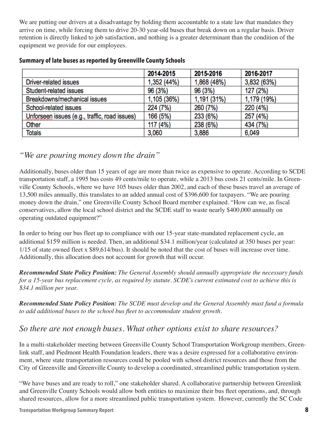We are putting our drivers at a disadvantage by holding them accountable to a state law that mandates they arrive on time, while forcing them to drive 20-30 year-old buses that break down on a regular basis. Driver retention is directly linked to job satisfaction, and nothing is a greater determinant than the condition of the equipment we provide for our employees.

|                                               | 2014-2015   | 2015-2016   | 2016-2017   |
|-----------------------------------------------|-------------|-------------|-------------|
| Driver-related issues                         | 1,352 (44%) | 1,868 (48%) | 3,832 (63%) |
| Student-related issues                        | 96 (3%)     | 96 (3%)     | 127 (2%)    |
| Breakdowns/mechanical issues                  | 1,105 (36%) | 1,191 (31%) | 1,179 (19%) |
| School-related issues                         | 224 (7%)    | 260 (7%)    | 220 (4%)    |
| Unforseen issues (e.g., traffic, road issues) | 166 (5%)    | 233 (6%)    | 257 (4%)    |
| Other                                         | 117 (4%)    | 238 (6%)    | 434 (7%)    |
| <b>Totals</b>                                 | 3,060       | 3,886       | 6,049       |

#### **Summary of late buses as reported by Greenville County Schools**

## *"We are pouring money down the drain"*

Additionally, buses older than 15 years of age are more than twice as expensive to operate. According to SCDE transportation staff, a 1995 bus costs 49 cents/mile to operate, while a 2013 bus costs 21 cents/mile. In Greenville County Schools, where we have 105 buses older than 2002, and each of these buses travel an average of 13,500 miles annually, this translates to an added annual cost of \$396,600 for taxpayers. "We are pouring money down the drain," one Greenville County School Board member explained. "How can we, as fiscal conservatives, allow the local school district and the SCDE staff to waste nearly \$400,000 annually on operating outdated equipment?"

In order to bring our bus fleet up to compliance with our 15-year state-mandated replacement cycle, an additional \$159 million is needed. Then, an additional \$34.1 million/year (calculated at 350 buses per year: 1/15 of state owned fleet x \$89,614/bus). It should be noted that the cost of buses will increase over time. Additionally, this allocation does not account for growth that will occur.

*Recommended State Policy Position: The General Assembly should annually appropriate the necessary funds for a 15-year bus replacement cycle, as required by statute. SCDE's current estimated cost to achieve this is \$34.1 million per year.*

*Recommended State Policy Position: The SCDE must develop and the General Assembly must fund a formula to* add additional buses to the school bus fleet to accommodate student growth.

## *So there are not enough buses. What other options exist to share resources?*

In a multi-stakeholder meeting between Greenville County School Transportation Workgroup members, Greenlink staff, and Piedmont Health Foundation leaders, there was a desire expressed for a collaborative environment, where state transportation resources could be pooled with school district resources and those from the City of Greenville and Greenville County to develop a coordinated, streamlined public transportation system.

"We have buses and are ready to roll," one stakeholder shared. A collaborative partnership between Greenlink and Greenville County Schools would allow both entities to maximize their bus fleet operations, and, through shared resources, allow for a more streamlined public transportation system. However, currently the SC Code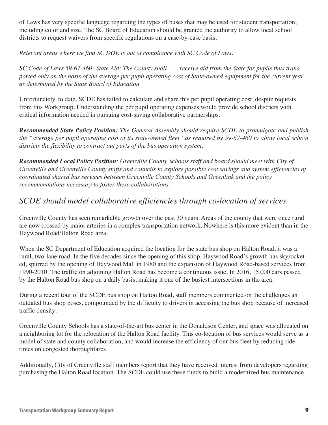of Laws has very specific language regarding the types of buses that may be used for student transportation, including color and size. The SC Board of Education should be granted the authority to allow local school districts to request waivers from specific regulations on a case-by-case basis.

*Relevant areas where we find SC DOE is out of compliance with SC Code of Laws:* 

*SC Code of Laws 59-67-460- State Aid: The County shall . . . receive aid from the State for pupils thus transported only on the basis of the average per pupil operating cost of State-owned equipment for the current year as determined by the State Board of Education*

Unfortunately, to date, SCDE has failed to calculate and share this per pupil operating cost, despite requests from this Workgroup. Understanding the per pupil operating expenses would provide school districts with critical information needed in pursuing cost-saving collaborative partnerships.

*Recommended State Policy Position: The General Assembly should require SCDE to promulgate and publish the* "average per pupil operating cost of its state-owned fleet" as required by 59-67-460 to allow local school districts the flexibility to contract out parts of the bus operation system.

*Recommended Local Policy Position: Greenville County Schools staff and board should meet with City of Greenville and Greenville County staffs and councils to explore possible cost savings and system efficiencies of coordinated shared bus services between Greenville County Schools and Greenlink and the policy recommendations necessary to foster these collaborations.*

# *SCDE* should model collaborative efficiencies through co-location of services

Greenville County has seen remarkable growth over the past 30 years. Areas of the county that were once rural are now crossed by major arteries in a complex transportation network. Nowhere is this more evident than in the Haywood Road/Halton Road area.

When the SC Department of Education acquired the location for the state bus shop on Halton Road, it was a rural, two-lane road. In the five decades since the opening of this shop, Haywood Road's growth has skyrocketed, spurred by the opening of Haywood Mall in 1980 and the expansion of Haywood Road-based services from 1990-2010. The traffic on adjoining Halton Road has become a continuous issue. In 2016, 15,000 cars passed by the Halton Road bus shop on a daily basis, making it one of the busiest intersections in the area.

During a recent tour of the SCDE bus shop on Halton Road, staff members commented on the challenges an outdated bus shop poses, compounded by the difficulty to drivers in accessing the bus shop because of increased traffic density.

Greenville County Schools has a state-of-the-art bus center in the Donaldson Center, and space was allocated on a neighboring lot for the relocation of the Halton Road facility. This co-location of bus services would serve as a model of state and county collaboration, and would increase the efficiency of our bus fleet by reducing ride times on congested thoroughfares.

Additionally, City of Greenville staff members report that they have received interest from developers regarding purchasing the Halton Road location. The SCDE could use these funds to build a modernized bus maintenance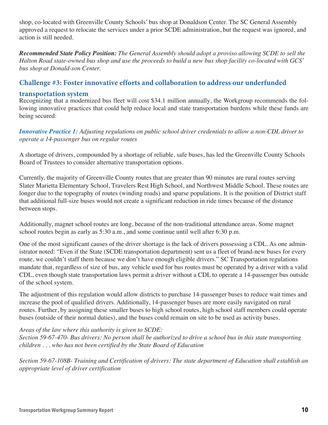shop, co-located with Greenville County Schools' bus shop at Donaldson Center. The SC General Assembly approved a request to relocate the services under a prior SCDE administration, but the request was ignored, and action is still needed.

*Recommended State Policy Position: The General Assembly should adopt a proviso allowing SCDE to sell the Halton Road state-owned bus shop and use the proceeds to build a new bus shop facility co-located with GCS' bus shop at Donald-son Center.*

#### **Challenge #3: Foster innovative efforts and collaboration to address our underfunded**

#### **transportation system**

Recognizing that a modernized bus fleet will cost \$34.1 million annually, the Workgroup recommends the following innovative practices that could help reduce local and state transportation burdens while these funds are being secured:

*Innovative Practice 1: Adjusting regulations on public school driver credentials to allow a non-CDL driver to operate a 14-passenger bus on regular routes*

A shortage of drivers, compounded by a shortage of reliable, safe buses, has led the Greenville County Schools Board of Trustees to consider alternative transportation options.

Currently, the majority of Greenville County routes that are greater than 90 minutes are rural routes serving Slater Marietta Elementary School, Travelers Rest High School, and Northwest Middle School. These routes are longer due to the topography of routes (winding roads) and sparse populations. It is the position of District staff that additional full-size buses would not create a significant reduction in ride times because of the distance between stops.

Additionally, magnet school routes are long, because of the non-traditional attendance areas. Some magnet school routes begin as early as 5:30 a.m., and some continue until well after 6:30 p.m.

One of the most significant causes of the driver shortage is the lack of drivers possessing a CDL. As one administrator noted: "Even if the State (SCDE transportation department) sent us a fleet of brand-new buses for every route, we couldn't staff them because we don't have enough eligible drivers." SC Transportation regulations mandate that, regardless of size of bus, any vehicle used for bus routes must be operated by a driver with a valid CDL, even though state transportation laws permit a driver without a CDL to operate a 14-passenger bus outside of the school system.

The adjustment of this regulation would allow districts to purchase 14-passenger buses to reduce wait times and increase the pool of qualified drivers. Additionally, 14-passenger buses are more easily navigated on rural routes. Further, by assigning these smaller buses to high school routes, high school staff members could operate buses (outside of their normal duties), and the buses could remain on site to be used as activity buses.

#### *Areas of the law where this authority is given to SCDE:*

*Section 59-67-470- Bus drivers: No person shall be authorized to drive a school bus in this state transporting children* . . . who has not been certified by the State Board of Education

Section 59-67-108B- Training and Certification of drivers: The state department of Education shall establish an *appropriate level of driver certification*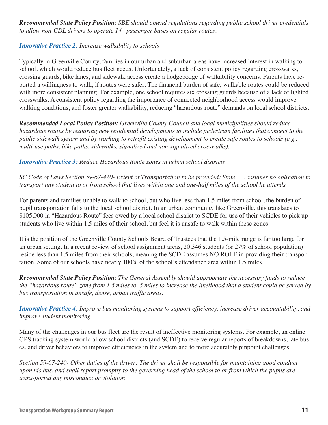*Recommended State Policy Position: SBE should amend regulations regarding public school driver credentials to allow non-CDL drivers to operate 14 –passenger buses on regular routes.* 

#### *Innovative Practice 2: Increase walkability to schools*

Typically in Greenville County, families in our urban and suburban areas have increased interest in walking to school, which would reduce bus fleet needs. Unfortunately, a lack of consistent policy regarding crosswalks, crossing guards, bike lanes, and sidewalk access create a hodgepodge of walkability concerns. Parents have reported a willingness to walk, if routes were safer. The financial burden of safe, walkable routes could be reduced with more consistent planning. For example, one school requires six crossing guards because of a lack of lighted crosswalks. A consistent policy regarding the importance of connected neighborhood access would improve walking conditions, and foster greater walkability, reducing "hazardous route" demands on local school districts.

*Recommended Local Policy Position: Greenville County Council and local municipalities should reduce hazardous routes by requiring new residential developments to include pedestrian facilities that connect to the public sidewalk system and by working to retrofit existing development to create safe routes to schools (e.g., multi-use paths, bike paths, sidewalks, signalized and non-signalized crosswalks).* 

*Innovative Practice 3: Reduce Hazardous Route zones in urban school districts*

*SC Code of Laws Section 59-67-420- Extent of Transportation to be provided: State . . . assumes no obligation to transport any student to or from school that lives within one and one-half miles of the school he attends*

For parents and families unable to walk to school, but who live less than 1.5 miles from school, the burden of pupil transportation falls to the local school district. In an urban community like Greenville, this translates to \$105,000 in "Hazardous Route" fees owed by a local school district to SCDE for use of their vehicles to pick up students who live within 1.5 miles of their school, but feel it is unsafe to walk within these zones.

It is the position of the Greenville County Schools Board of Trustees that the 1.5-mile range is far too large for an urban setting. In a recent review of school assignment areas, 20,346 students (or 27% of school population) reside less than 1.5 miles from their schools, meaning the SCDE assumes NO ROLE in providing their transportation. Some of our schools have nearly 100% of the school's attendance area within 1.5 miles.

*Recommended State Policy Position: The General Assembly should appropriate the necessary funds to reduce the "hazardous route" zone from 1.5 miles to .5 miles to increase the likelihood that a student could be served by bus transportation in unsafe, dense, urban traffic areas.*

*Innovative Practice 4: Improve bus monitoring systems to support efficiency, increase driver accountability, and improve student monitoring*

Many of the challenges in our bus fleet are the result of ineffective monitoring systems. For example, an online GPS tracking system would allow school districts (and SCDE) to receive regular reports of breakdowns, late buses, and driver behaviors to improve efficiencies in the system and to more accurately pinpoint challenges.

Section 59-67-240- Other duties of the driver: The driver shall be responsible for maintaining good conduct *upon his bus, and shall report promptly to the governing head of the school to or from which the pupils are trans-ported any misconduct or violation*